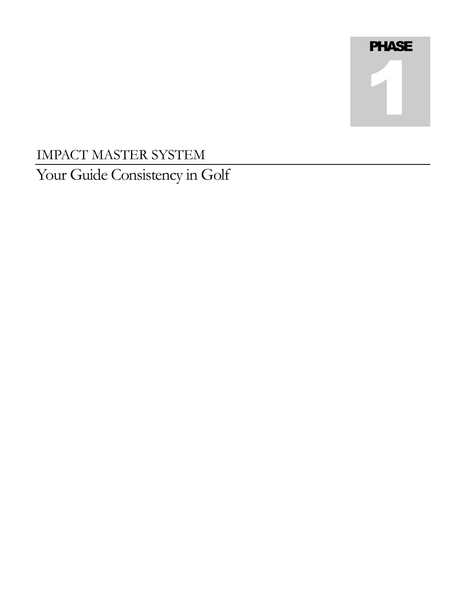# **PHASE** 1

# IMPACT MASTER SYSTEM Your Guide Consistency in Golf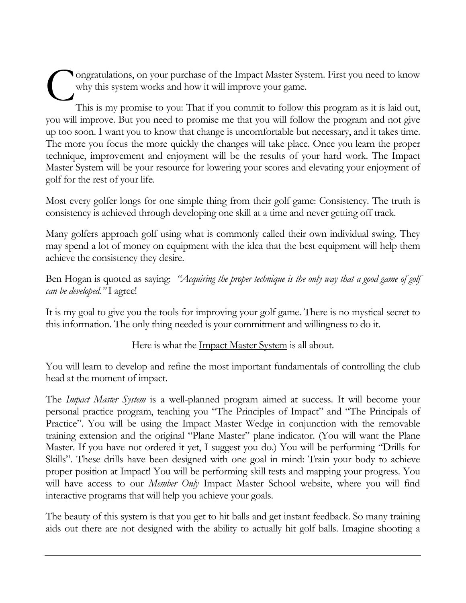ongratulations, on your purchase of the Impact Master System. First you need to know why this system works and how it will improve your game. C

This is my promise to you: That if you commit to follow this program as it is laid out, you will improve. But you need to promise me that you will follow the program and not give up too soon. I want you to know that change is uncomfortable but necessary, and it takes time. The more you focus the more quickly the changes will take place. Once you learn the proper technique, improvement and enjoyment will be the results of your hard work. The Impact Master System will be your resource for lowering your scores and elevating your enjoyment of golf for the rest of your life.

Most every golfer longs for one simple thing from their golf game: Consistency. The truth is consistency is achieved through developing one skill at a time and never getting off track.

Many golfers approach golf using what is commonly called their own individual swing. They may spend a lot of money on equipment with the idea that the best equipment will help them achieve the consistency they desire.

Ben Hogan is quoted as saying: *"Acquiring the proper technique is the only way that a good game of golf can be developed.*" I agree!

It is my goal to give you the tools for improving your golf game. There is no mystical secret to this information. The only thing needed is your commitment and willingness to do it.

Here is what the <u>Impact Master System</u> is all about.

You will learn to develop and refine the most important fundamentals of controlling the club head at the moment of impact.

The *Impact Master System* is a well-planned program aimed at success. It will become your personal practice program, teaching you "The Principles of Impact" and "The Principals of Practice". You will be using the Impact Master Wedge in conjunction with the removable training extension and the original "Plane Master" plane indicator. (You will want the Plane Master. If you have not ordered it yet, I suggest you do.) You will be performing "Drills for Skills". These drills have been designed with one goal in mind: Train your body to achieve proper position at Impact! You will be performing skill tests and mapping your progress. You will have access to our *Member Only* Impact Master School website, where you will find interactive programs that will help you achieve your goals.

The beauty of this system is that you get to hit balls and get instant feedback. So many training aids out there are not designed with the ability to actually hit golf balls. Imagine shooting a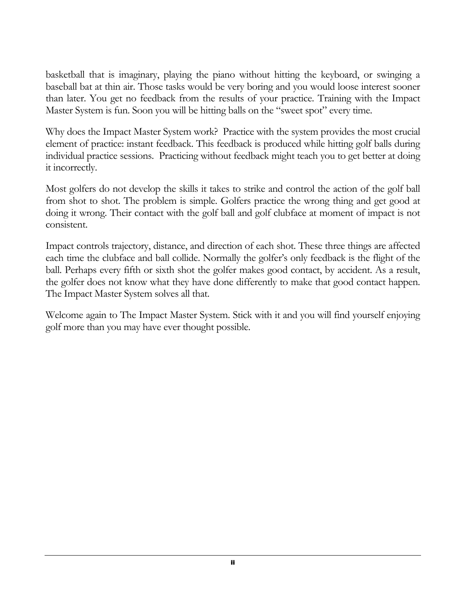basketball that is imaginary, playing the piano without hitting the keyboard, or swinging a baseball bat at thin air. Those tasks would be very boring and you would loose interest sooner than later. You get no feedback from the results of your practice. Training with the Impact Master System is fun. Soon you will be hitting balls on the "sweet spot" every time.

Why does the Impact Master System work? Practice with the system provides the most crucial element of practice: instant feedback. This feedback is produced while hitting golf balls during individual practice sessions. Practicing without feedback might teach you to get better at doing it incorrectly.

Most golfers do not develop the skills it takes to strike and control the action of the golf ball from shot to shot. The problem is simple. Golfers practice the wrong thing and get good at doing it wrong. Their contact with the golf ball and golf clubface at moment of impact is not consistent.

Impact controls trajectory, distance, and direction of each shot. These three things are affected each time the clubface and ball collide. Normally the golfer's only feedback is the flight of the ball. Perhaps every fifth or sixth shot the golfer makes good contact, by accident. As a result, the golfer does not know what they have done differently to make that good contact happen. The Impact Master System solves all that.

Welcome again to The Impact Master System. Stick with it and you will find yourself enjoying golf more than you may have ever thought possible.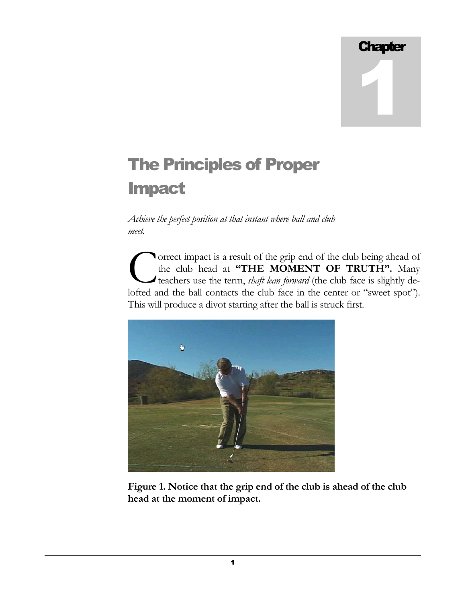# **Chapter** 1

# The Principles of Proper Impact

*Achieve the perfect position at that instant where ball and club meet.* 

orrect impact is a result of the grip end of the club being ahead of the club head at "THE MOMENT OF TRUTH". Many teachers use the term, *shaft lean forward* (the club face is slightly de-**CONTERT CONTERT CONTERT CONTERT CONTERT CONTERT CONTERT CONTERT CONTERT CONTERT CONTERT CONTERT CONTERT CONTERT CONTERT CONTERT CONTERT CONTERT CONTERT CONTERT CONTERT CONTERT CONTERT CONTERT CONTERT CONTERT CONTERT CONTE** This will produce a divot starting after the ball is struck first.



**Figure 1. Notice that the grip end of the club is ahead of the club head at the moment of impact.** 

1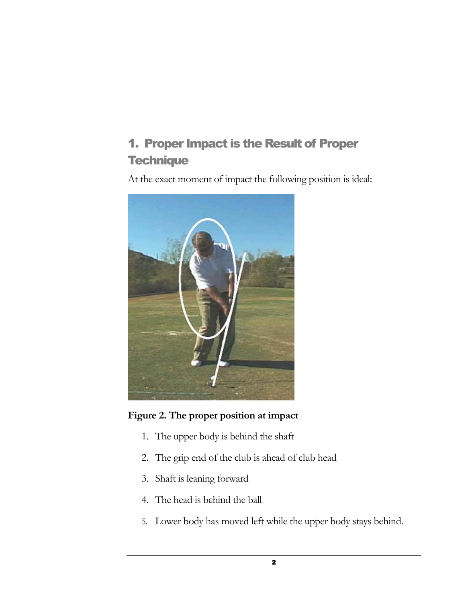## 1. Proper Impact is the Result of Proper **Technique**

At the exact moment of impact the following position is ideal:



#### **Figure 2. The proper position at impact**

- 1. The upper body is behind the shaft
- 2. The grip end of the club is ahead of club head
- 3. Shaft is leaning forward
- 4. The head is behind the ball
- 5. Lower body has moved left while the upper body stays behind.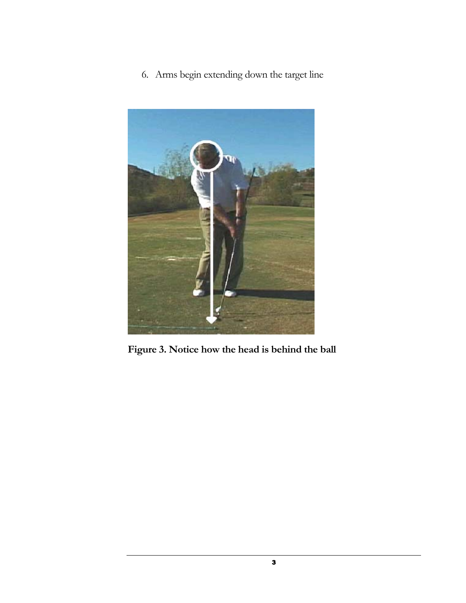6. Arms begin extending down the target line



**Figure 3. Notice how the head is behind the ball**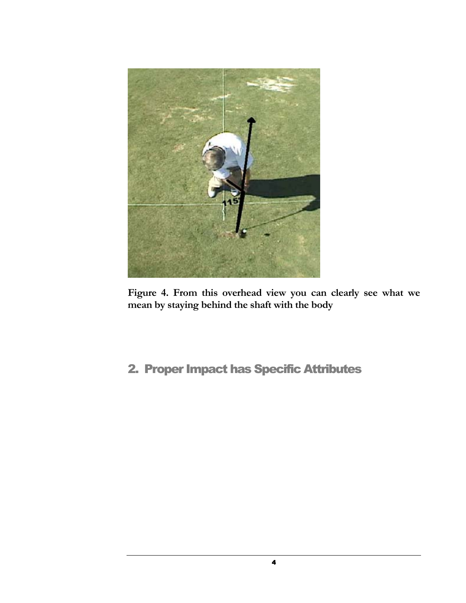

**Figure 4. From this overhead view you can clearly see what we mean by staying behind the shaft with the body** 

## 2. Proper Impact has Specific Attributes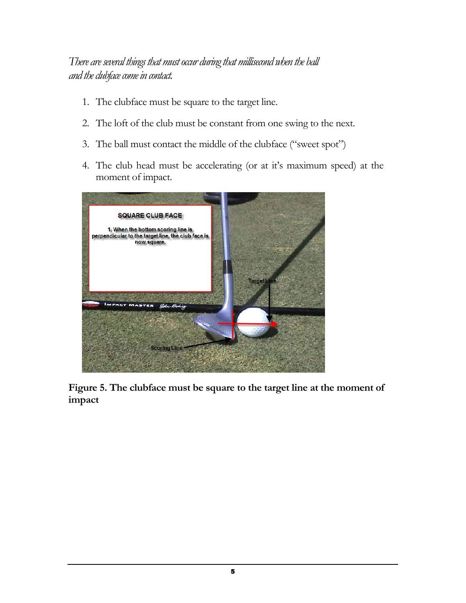### *There are several things that must occur during that millisecond when the ball and the clubface come in contact.*

- 1. The clubface must be square to the target line.
- 2. The loft of the club must be constant from one swing to the next.
- 3. The ball must contact the middle of the clubface ("sweet spot")
- 4. The club head must be accelerating (or at it's maximum speed) at the moment of impact.



**Figure 5. The clubface must be square to the target line at the moment of impact**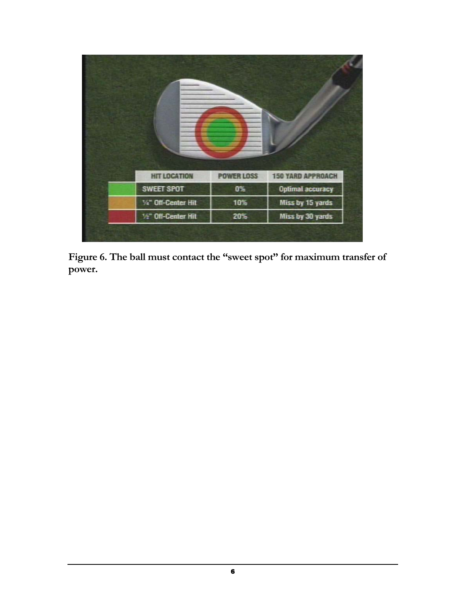| <b>HIT LOCATION</b>                          | <b>POWER LOSS</b> | <b>150 YARD APPROACH</b> |
|----------------------------------------------|-------------------|--------------------------|
| <b>SWEET SPOT</b>                            | 0%                | <b>Optimal accuracy</b>  |
| 1/4" Off-Center Hit                          | 10%               | Miss by 15 yards         |
| <sup>1</sup> / <sub>2</sub> " Off-Center Hit | 20%               | Miss by 30 yards         |
|                                              |                   |                          |

Figure 6. The ball must contact the "sweet spot" for maximum transfer of **power.**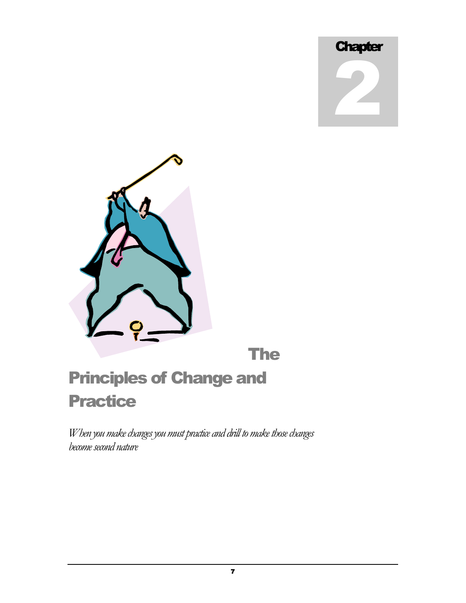



*When you make changes you must practice and drill to make those changes become second nature*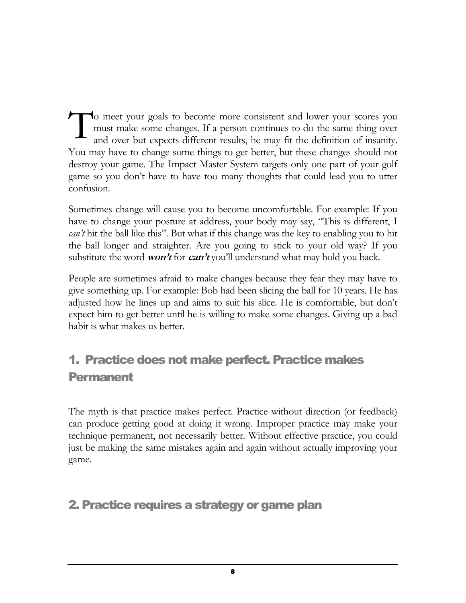o meet your goals to become more consistent and lower your scores you must make some changes. If a person continues to do the same thing over and over but expects different results, he may fit the definition of insanity. You may have to change some things to get better, but these changes should not destroy your game. The Impact Master System targets only one part of your golf game so you don't have to have too many thoughts that could lead you to utter confusion. T

Sometimes change will cause you to become uncomfortable. For example: If you have to change your posture at address, your body may say, "This is different, I *can't* hit the ball like this''. But what if this change was the key to enabling you to hit the ball longer and straighter. Are you going to stick to your old way? If you substitute the word *won't* for  $can't$  you'll understand what may hold you back.

People are sometimes afraid to make changes because they fear they may have to give something up. For example: Bob had been slicing the ball for 10 years. He has adjusted how he lines up and aims to suit his slice. He is comfortable, but don't expect him to get better until he is willing to make some changes. Giving up a bad habit is what makes us better.

## 1. Practice does not make perfect. Practice makes Permanent

The myth is that practice makes perfect. Practice without direction (or feedback) can produce getting good at doing it wrong. Improper practice may make your technique permanent, not necessarily better. Without effective practice, you could just be making the same mistakes again and again without actually improving your game.

## 2. Practice requires a strategy or game plan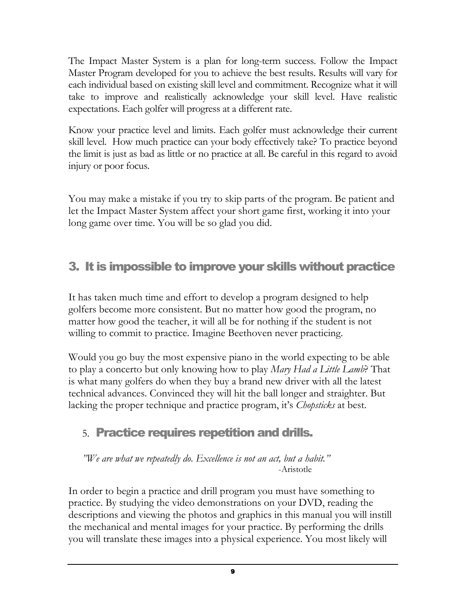The Impact Master System is a plan for long-term success. Follow the Impact Master Program developed for you to achieve the best results. Results will vary for each individual based on existing skill level and commitment. Recognize what it will take to improve and realistically acknowledge your skill level. Have realistic expectations. Each golfer will progress at a different rate.

Know your practice level and limits. Each golfer must acknowledge their current skill level. How much practice can your body effectively take? To practice beyond the limit is just as bad as little or no practice at all. Be careful in this regard to avoid injury or poor focus.

You may make a mistake if you try to skip parts of the program. Be patient and let the Impact Master System affect your short game first, working it into your long game over time. You will be so glad you did.

## 3. It is impossible to improve your skills without practice

It has taken much time and effort to develop a program designed to help golfers become more consistent. But no matter how good the program, no matter how good the teacher, it will all be for nothing if the student is not willing to commit to practice. Imagine Beethoven never practicing.

Would you go buy the most expensive piano in the world expecting to be able to play a concerto but only knowing how to play *Mary Had a Little Lamb*? That is what many golfers do when they buy a brand new driver with all the latest technical advances. Convinced they will hit the ball longer and straighter. But lacking the proper technique and practice program, it's *Chopsticks* at best.

## 5. Practice requires repetition and drills.

<sup>*NVe are what we repeatedly do.* Excellence is not an act, but a habit."</sup> -Aristotle

In order to begin a practice and drill program you must have something to practice. By studying the video demonstrations on your DVD, reading the descriptions and viewing the photos and graphics in this manual you will instill the mechanical and mental images for your practice. By performing the drills you will translate these images into a physical experience. You most likely will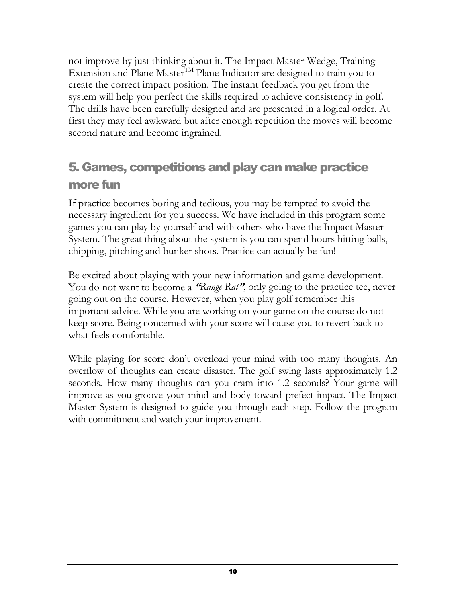not improve by just thinking about it. The Impact Master Wedge, Training Extension and Plane Master<sup>TM</sup> Plane Indicator are designed to train you to create the correct impact position. The instant feedback you get from the system will help you perfect the skills required to achieve consistency in golf. The drills have been carefully designed and are presented in a logical order. At first they may feel awkward but after enough repetition the moves will become second nature and become ingrained.

## 5. Games, competitions and play can make practice more fun

If practice becomes boring and tedious, you may be tempted to avoid the necessary ingredient for you success. We have included in this program some games you can play by yourself and with others who have the Impact Master System. The great thing about the system is you can spend hours hitting balls, chipping, pitching and bunker shots. Practice can actually be fun!

Be excited about playing with your new information and game development. You do not want to become a "Range Rat", only going to the practice tee, never going out on the course. However, when you play golf remember this important advice. While you are working on your game on the course do not keep score. Being concerned with your score will cause you to revert back to what feels comfortable.

While playing for score don't overload your mind with too many thoughts. An overflow of thoughts can create disaster. The golf swing lasts approximately 1.2 seconds. How many thoughts can you cram into 1.2 seconds? Your game will improve as you groove your mind and body toward prefect impact. The Impact Master System is designed to guide you through each step. Follow the program with commitment and watch your improvement.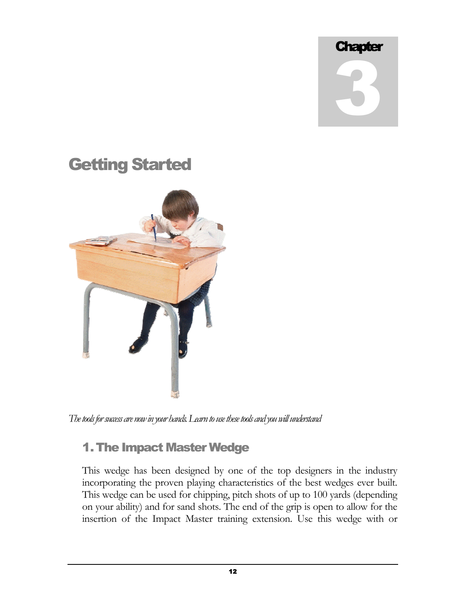# **Chapter** 3

## Getting Started



*The tools for success are now in your hands. Learn to use these tools and you will understand* 

## 1. The Impact Master Wedge

This wedge has been designed by one of the top designers in the industry incorporating the proven playing characteristics of the best wedges ever built. This wedge can be used for chipping, pitch shots of up to 100 yards (depending on your ability) and for sand shots. The end of the grip is open to allow for the insertion of the Impact Master training extension. Use this wedge with or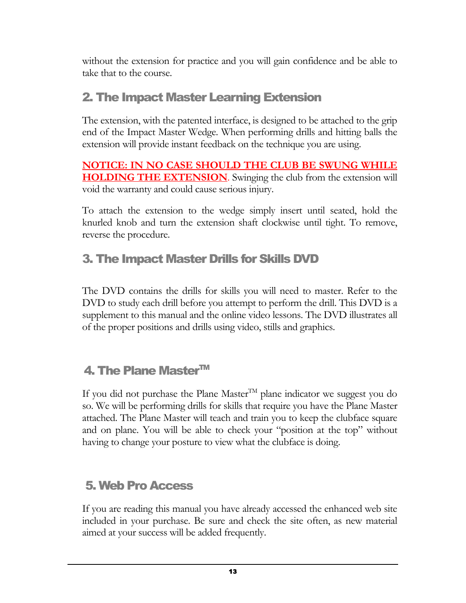without the extension for practice and you will gain confidence and be able to take that to the course.

## 2. The Impact Master Learning Extension

The extension, with the patented interface, is designed to be attached to the grip end of the Impact Master Wedge. When performing drills and hitting balls the extension will provide instant feedback on the technique you are using.

**NOTICE: IN NO CASE SHOULD THE CLUB BE SWUNG WHILE HOLDING THE EXTENSION**. Swinging the club from the extension will void the warranty and could cause serious injury.

To attach the extension to the wedge simply insert until seated, hold the knurled knob and turn the extension shaft clockwise until tight. To remove, reverse the procedure.

## 3. The Impact Master Drills for Skills DVD

The DVD contains the drills for skills you will need to master. Refer to the DVD to study each drill before you attempt to perform the drill. This DVD is a supplement to this manual and the online video lessons. The DVD illustrates all of the proper positions and drills using video, stills and graphics.

## 4. The Plane Master™

If you did not purchase the Plane Master<sup>TM</sup> plane indicator we suggest you do so. We will be performing drills for skills that require you have the Plane Master attached. The Plane Master will teach and train you to keep the clubface square and on plane. You will be able to check your "position at the top" without having to change your posture to view what the clubface is doing.

## 5. Web Pro Access

If you are reading this manual you have already accessed the enhanced web site included in your purchase. Be sure and check the site often, as new material aimed at your success will be added frequently.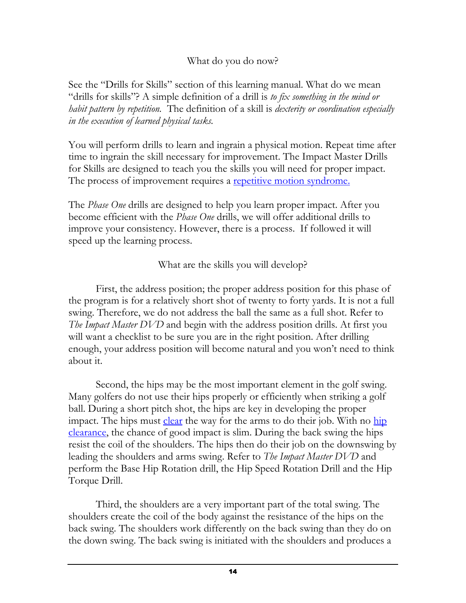#### What do you do now?

See the "Drills for Skills" section of this learning manual. What do we mean "drills for skills"? A simple definition of a drill is *to fix something in the mind or habit pattern by repetition.* The definition of a skill is *dexterity or coordination especially in the execution of learned physical tasks.*

You will perform drills to learn and ingrain a physical motion. Repeat time after time to ingrain the skill necessary for improvement. The Impact Master Drills for Skills are designed to teach you the skills you will need for proper impact. The process of improvement requires a repetitive motion syndrome.

The *Phase One* drills are designed to help you learn proper impact. After you become efficient with the *Phase One* drills, we will offer additional drills to improve your consistency. However, there is a process. If followed it will speed up the learning process.

What are the skills you will develop?

 First, the address position; the proper address position for this phase of the program is for a relatively short shot of twenty to forty yards. It is not a full swing. Therefore, we do not address the ball the same as a full shot. Refer to *The Impact Master DVD* and begin with the address position drills. At first you will want a checklist to be sure you are in the right position. After drilling enough, your address position will become natural and you won't need to think about it.

 Second, the hips may be the most important element in the golf swing. Many golfers do not use their hips properly or efficiently when striking a golf ball. During a short pitch shot, the hips are key in developing the proper impact. The hips must clear the way for the arms to do their job. With no hip clearance, the chance of good impact is slim. During the back swing the hips resist the coil of the shoulders. The hips then do their job on the downswing by leading the shoulders and arms swing. Refer to *The Impact Master DVD* and perform the Base Hip Rotation drill, the Hip Speed Rotation Drill and the Hip Torque Drill.

 Third, the shoulders are a very important part of the total swing. The shoulders create the coil of the body against the resistance of the hips on the back swing. The shoulders work differently on the back swing than they do on the down swing. The back swing is initiated with the shoulders and produces a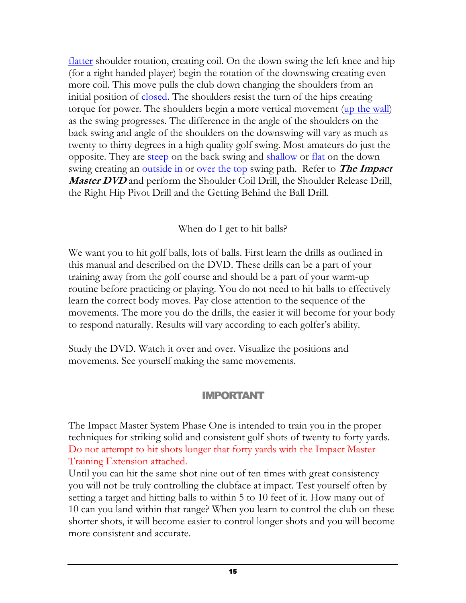flatter shoulder rotation, creating coil. On the down swing the left knee and hip (for a right handed player) begin the rotation of the downswing creating even more coil. This move pulls the club down changing the shoulders from an initial position of closed. The shoulders resist the turn of the hips creating torque for power. The shoulders begin a more vertical movement (up the wall) as the swing progresses. The difference in the angle of the shoulders on the back swing and angle of the shoulders on the downswing will vary as much as twenty to thirty degrees in a high quality golf swing. Most amateurs do just the opposite. They are steep on the back swing and shallow or flat on the down swing creating an outside in or over the top swing path. Refer to **The Impact**  *Master DVD* and perform the Shoulder Coil Drill, the Shoulder Release Drill, the Right Hip Pivot Drill and the Getting Behind the Ball Drill.

When do I get to hit balls?

We want you to hit golf balls, lots of balls. First learn the drills as outlined in this manual and described on the DVD. These drills can be a part of your training away from the golf course and should be a part of your warm-up routine before practicing or playing. You do not need to hit balls to effectively learn the correct body moves. Pay close attention to the sequence of the movements. The more you do the drills, the easier it will become for your body to respond naturally. Results will vary according to each golfer's ability.

Study the DVD. Watch it over and over. Visualize the positions and movements. See yourself making the same movements.

### IMPORTANT

The Impact Master System Phase One is intended to train you in the proper techniques for striking solid and consistent golf shots of twenty to forty yards. Do not attempt to hit shots longer that forty yards with the Impact Master Training Extension attached.

Until you can hit the same shot nine out of ten times with great consistency you will not be truly controlling the clubface at impact. Test yourself often by setting a target and hitting balls to within 5 to 10 feet of it. How many out of 10 can you land within that range? When you learn to control the club on these shorter shots, it will become easier to control longer shots and you will become more consistent and accurate.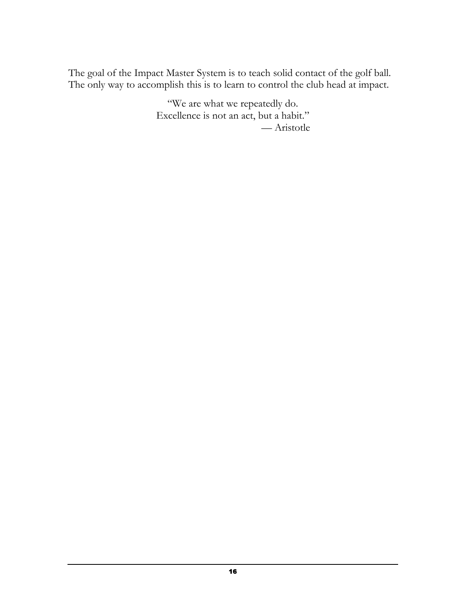The goal of the Impact Master System is to teach solid contact of the golf ball. The only way to accomplish this is to learn to control the club head at impact.

> "We are what we repeatedly do. Excellence is not an act, but a habit." e Aristotle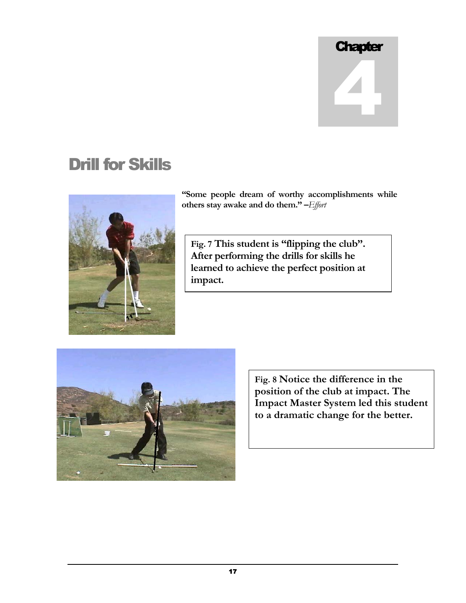# **Chapter** 4

# Drill for Skills



**"Some people dream of worthy accomplishments while**  others stay awake and do them." -Effort

Fig. 7 This student is "flipping the club". **After performing the drills for skills he learned to achieve the perfect position at impact.**



**Fig. 8 Notice the difference in the position of the club at impact. The Impact Master System led this student to a dramatic change for the better.**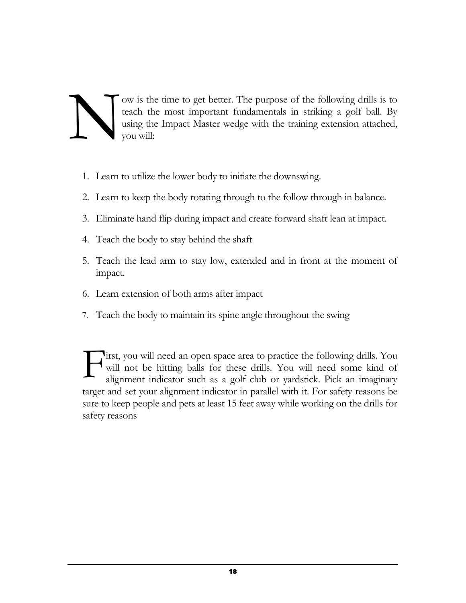ow is the time to get better. The purpose of the following drills is to teach the most important fundamentals in striking a golf ball. By using the Impact Master wedge with the training extension attached, you will: N

- 1. Learn to utilize the lower body to initiate the downswing.
- 2. Learn to keep the body rotating through to the follow through in balance.
- 3. Eliminate hand flip during impact and create forward shaft lean at impact.
- 4. Teach the body to stay behind the shaft
- 5. Teach the lead arm to stay low, extended and in front at the moment of impact.
- 6. Learn extension of both arms after impact
- 7. Teach the body to maintain its spine angle throughout the swing

irst, you will need an open space area to practice the following drills. You will not be hitting balls for these drills. You will need some kind of alignment indicator such as a golf club or yardstick. Pick an imaginary target and set your alignment indicator in parallel with it. For safety reasons be sure to keep people and pets at least 15 feet away while working on the drills for safety reasons F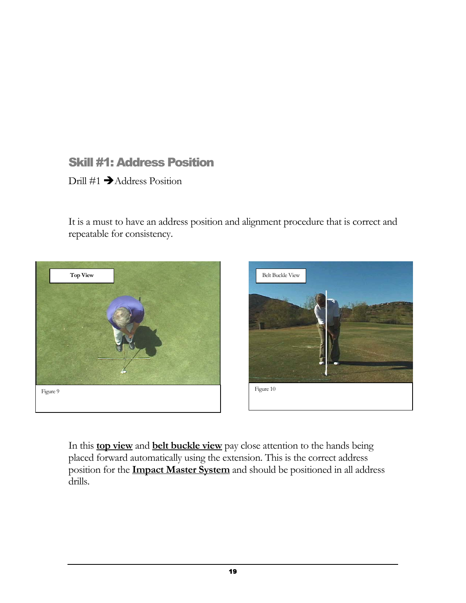## Skill #1: Address Position

Drill  $\#1 \rightarrow$  Address Position

It is a must to have an address position and alignment procedure that is correct and repeatable for consistency.





In this **top view** and **belt buckle view** pay close attention to the hands being placed forward automatically using the extension. This is the correct address position for the **Impact Master System** and should be positioned in all address drills.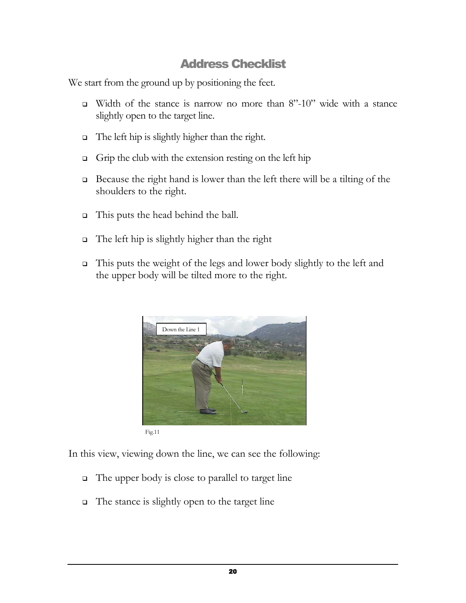## Address Checklist

We start from the ground up by positioning the feet.

- $\Box$  Width of the stance is narrow no more than 8"-10" wide with a stance slightly open to the target line.
- The left hip is slightly higher than the right.
- $\Box$  Grip the club with the extension resting on the left hip
- Because the right hand is lower than the left there will be a tilting of the shoulders to the right.
- This puts the head behind the ball.
- The left hip is slightly higher than the right
- $\Box$  This puts the weight of the legs and lower body slightly to the left and the upper body will be tilted more to the right.



In this view, viewing down the line, we can see the following:

- $\Box$  The upper body is close to parallel to target line
- $\Box$  The stance is slightly open to the target line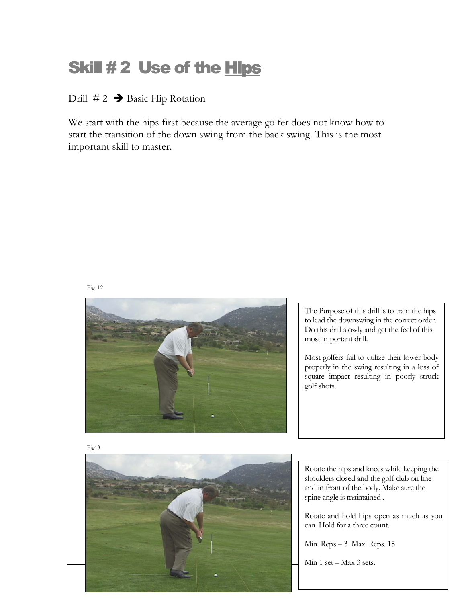# Skill #2 Use of the Hips

Drill  $# 2 \rightarrow$  Basic Hip Rotation

We start with the hips first because the average golfer does not know how to start the transition of the down swing from the back swing. This is the most important skill to master.

#### Fig. 12



The Purpose of this drill is to train the hips to lead the downswing in the correct order. Do this drill slowly and get the feel of this most important drill.

Most golfers fail to utilize their lower body properly in the swing resulting in a loss of square impact resulting in poorly struck golf shots.





Rotate the hips and knees while keeping the shoulders closed and the golf club on line and in front of the body. Make sure the spine angle is maintained .

Rotate and hold hips open as much as you can. Hold for a three count.

Min. Reps - 3 Max. Reps. 15

Min  $1$  set  $-$  Max  $3$  sets.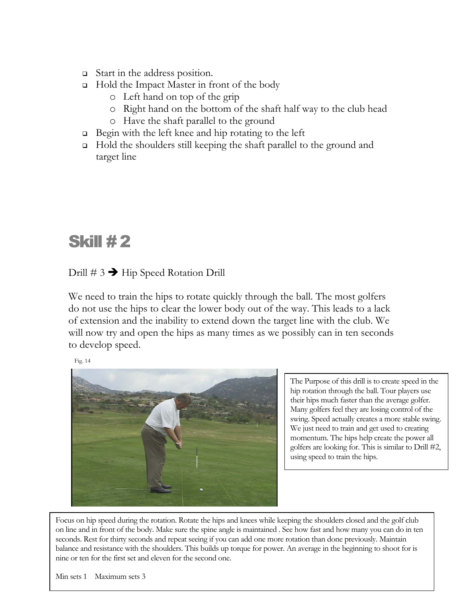- Start in the address position.
- $\Box$  Hold the Impact Master in front of the body
	- o Left hand on top of the grip
	- o Right hand on the bottom of the shaft half way to the club head
	- o Have the shaft parallel to the ground
- $\Box$  Begin with the left knee and hip rotating to the left
- Hold the shoulders still keeping the shaft parallel to the ground and target line

# **Skill #2**

#### Drill  $\# 3 \rightarrow$  Hip Speed Rotation Drill

We need to train the hips to rotate quickly through the ball. The most golfers do not use the hips to clear the lower body out of the way. This leads to a lack of extension and the inability to extend down the target line with the club. We will now try and open the hips as many times as we possibly can in ten seconds to develop speed.

Fig. 14



The Purpose of this drill is to create speed in the hip rotation through the ball. Tour players use their hips much faster than the average golfer. Many golfers feel they are losing control of the swing. Speed actually creates a more stable swing. We just need to train and get used to creating momentum. The hips help create the power all golfers are looking for. This is similar to Drill #2, using speed to train the hips.

Focus on hip speed during the rotation. Rotate the hips and knees while keeping the shoulders closed and the golf club on line and in front of the body. Make sure the spine angle is maintained . See how fast and how many you can do in ten seconds. Rest for thirty seconds and repeat seeing if you can add one more rotation than done previously. Maintain balance and resistance with the shoulders. This builds up torque for power. An average in the beginning to shoot for is nine or ten for the first set and eleven for the second one.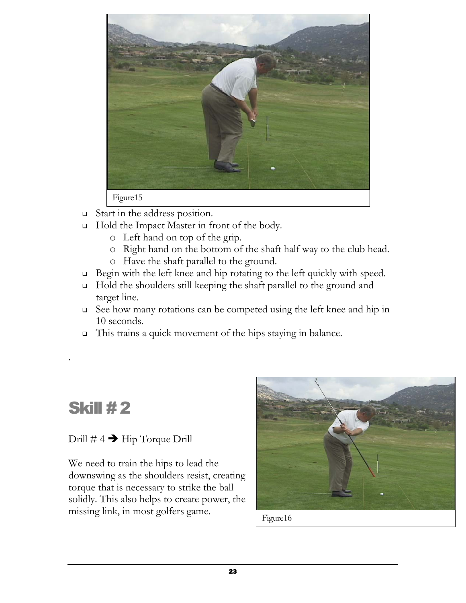

- Start in the address position.
- □ Hold the Impact Master in front of the body.
	- o Left hand on top of the grip.
	- o Right hand on the bottom of the shaft half way to the club head.
	- o Have the shaft parallel to the ground.
- Begin with the left knee and hip rotating to the left quickly with speed.
- Hold the shoulders still keeping the shaft parallel to the ground and target line.
- See how many rotations can be competed using the left knee and hip in 10 seconds.
- This trains a quick movement of the hips staying in balance.

# **Skill #2**

.

### Drill  $\#$  4  $\rightarrow$  Hip Torque Drill

We need to train the hips to lead the downswing as the shoulders resist, creating torque that is necessary to strike the ball solidly. This also helps to create power, the missing link, in most golfers game.



Figure16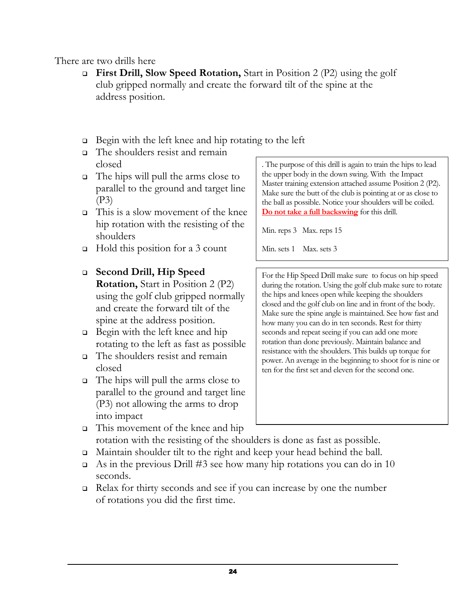#### There are two drills here

- **First Drill, Slow Speed Rotation,** Start in Position 2 (P2) using the golf club gripped normally and create the forward tilt of the spine at the address position.
- $\Box$  Begin with the left knee and hip rotating to the left
- The shoulders resist and remain closed
- $\Box$  The hips will pull the arms close to parallel to the ground and target line (P3)
- $\Box$  This is a slow movement of the knee hip rotation with the resisting of the shoulders
- $\Box$  Hold this position for a 3 count

#### **Second Drill, Hip Speed**

- **Rotation,** Start in Position 2 (P2) using the golf club gripped normally and create the forward tilt of the spine at the address position.
- Begin with the left knee and hip rotating to the left as fast as possible
- The shoulders resist and remain closed
- The hips will pull the arms close to parallel to the ground and target line (P3) not allowing the arms to drop into impact

. The purpose of this drill is again to train the hips to lead the upper body in the down swing. With the Impact Master training extension attached assume Position 2 (P2). Make sure the butt of the club is pointing at or as close to the ball as possible. Notice your shoulders will be coiled. **Do not take a full backswing** for this drill.

Min. reps 3 Max. reps 15

Min. sets 1 Max. sets 3

For the Hip Speed Drill make sure to focus on hip speed during the rotation. Using the golf club make sure to rotate the hips and knees open while keeping the shoulders closed and the golf club on line and in front of the body. Make sure the spine angle is maintained. See how fast and how many you can do in ten seconds. Rest for thirty seconds and repeat seeing if you can add one more rotation than done previously. Maintain balance and resistance with the shoulders. This builds up torque for power. An average in the beginning to shoot for is nine or ten for the first set and eleven for the second one.

- This movement of the knee and hip rotation with the resisting of the shoulders is done as fast as possible.
- Maintain shoulder tilt to the right and keep your head behind the ball.
- As in the previous Drill #3 see how many hip rotations you can do in 10 seconds.
- $\Box$  Relax for thirty seconds and see if you can increase by one the number of rotations you did the first time.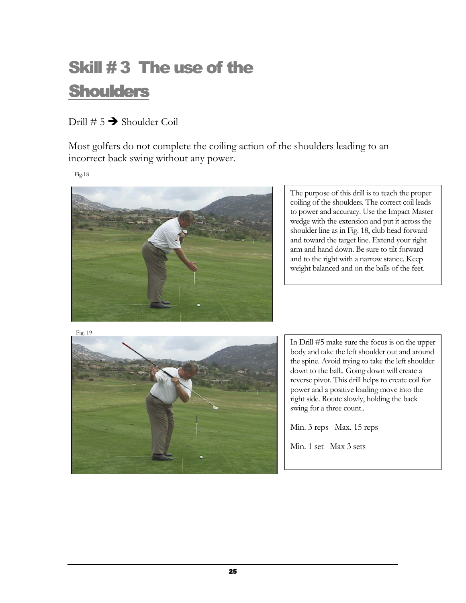# Skill # 3 The use of the **Shoulders**

### Drill  $\# 5 \rightarrow$  Shoulder Coil

Most golfers do not complete the coiling action of the shoulders leading to an incorrect back swing without any power.

Fig.18



The purpose of this drill is to teach the proper coiling of the shoulders. The correct coil leads to power and accuracy. Use the Impact Master wedge with the extension and put it across the shoulder line as in Fig. 18, club head forward and toward the target line. Extend your right arm and hand down. Be sure to tilt forward and to the right with a narrow stance. Keep weight balanced and on the balls of the feet.

Fig. 19



In Drill #5 make sure the focus is on the upper body and take the left shoulder out and around the spine. Avoid trying to take the left shoulder down to the ball.. Going down will create a reverse pivot. This drill helps to create coil for power and a positive loading move into the right side. Rotate slowly, holding the back swing for a three count..

Min. 3 reps Max. 15 reps

Min. 1 set Max 3 sets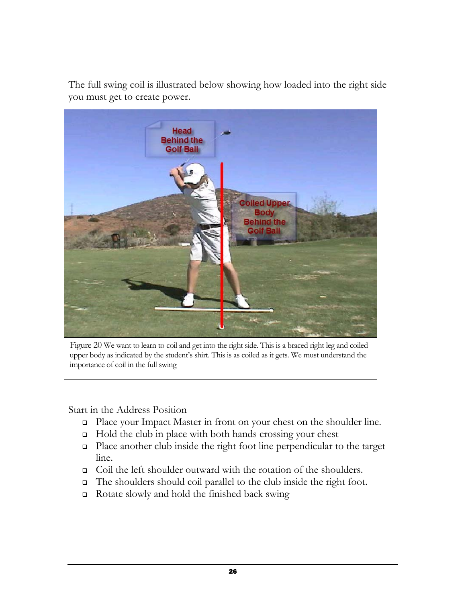The full swing coil is illustrated below showing how loaded into the right side you must get to create power.



Figure 20 We want to learn to coil and get into the right side. This is a braced right leg and coiled upper body as indicated by the student's shirt. This is as coiled as it gets. We must understand the importance of coil in the full swing

Start in the Address Position

- □ Place your Impact Master in front on your chest on the shoulder line.
- $\Box$  Hold the club in place with both hands crossing your chest
- Place another club inside the right foot line perpendicular to the target line.
- Coil the left shoulder outward with the rotation of the shoulders.
- The shoulders should coil parallel to the club inside the right foot.
- Rotate slowly and hold the finished back swing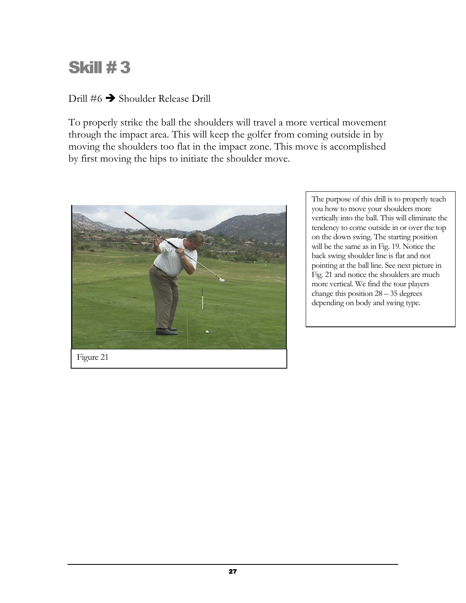# **Skill #3**

### Drill  $#6 \rightarrow$  Shoulder Release Drill

To properly strike the ball the shoulders will travel a more vertical movement through the impact area. This will keep the golfer from coming outside in by moving the shoulders too flat in the impact zone. This move is accomplished by first moving the hips to initiate the shoulder move.



The purpose of this drill is to properly teach you how to move your shoulders more vertically into the ball. This will eliminate the tendency to come outside in or over the top on the down swing. The starting position will be the same as in Fig. 19. Notice the back swing shoulder line is flat and not pointing at the ball line. See next picture in Fig. 21 and notice the shoulders are much more vertical. We find the tour players change this position  $28 - 35$  degrees depending on body and swing type.

Figure 21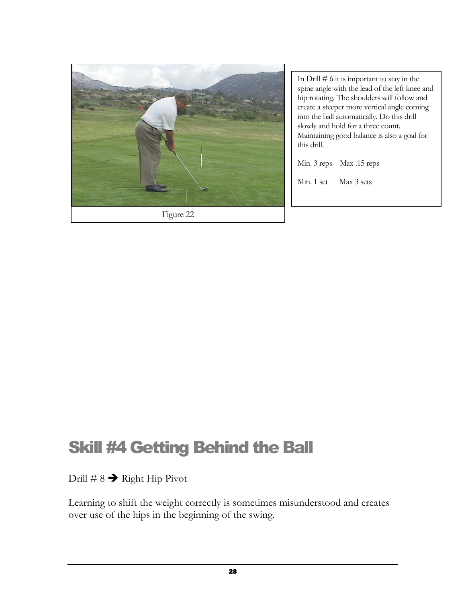

In Drill  $# 6$  it is important to stay in the spine angle with the lead of the left knee and hip rotating. The shoulders will follow and create a steeper more vertical angle coming into the ball automatically. Do this drill slowly and hold for a three count. Maintaining good balance is also a goal for this drill.

Min. 3 reps Max .15 reps

Min. 1 set Max 3 sets

# Skill #4 Getting Behind the Ball

### Drill # 8  $\rightarrow$  Right Hip Pivot

Learning to shift the weight correctly is sometimes misunderstood and creates over use of the hips in the beginning of the swing.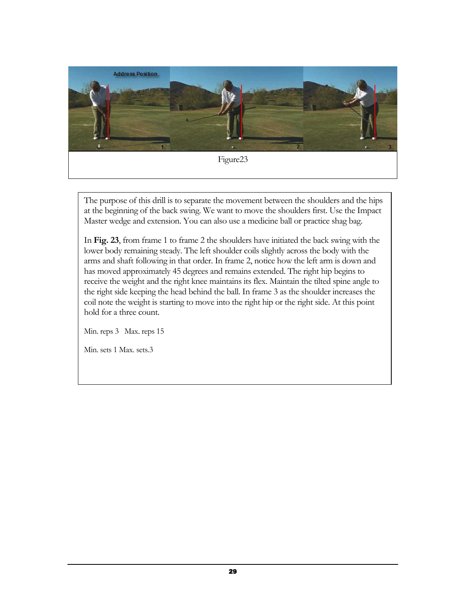

The purpose of this drill is to separate the movement between the shoulders and the hips at the beginning of the back swing. We want to move the shoulders first. Use the Impact Master wedge and extension. You can also use a medicine ball or practice shag bag.

In **Fig. 23**, from frame 1 to frame 2 the shoulders have initiated the back swing with the lower body remaining steady. The left shoulder coils slightly across the body with the arms and shaft following in that order. In frame 2, notice how the left arm is down and has moved approximately 45 degrees and remains extended. The right hip begins to receive the weight and the right knee maintains its flex. Maintain the tilted spine angle to the right side keeping the head behind the ball. In frame 3 as the shoulder increases the coil note the weight is starting to move into the right hip or the right side. At this point hold for a three count.

Min. reps 3 Max. reps 15

Min. sets 1 Max. sets.3